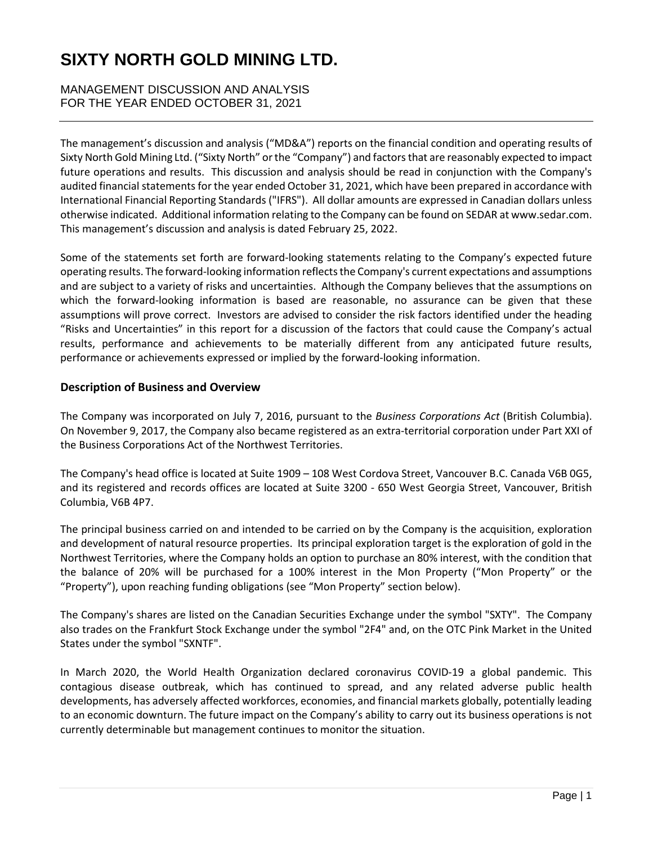MANAGEMENT DISCUSSION AND ANALYSIS FOR THE YEAR ENDED OCTOBER 31, 2021

The management's discussion and analysis ("MD&A") reports on the financial condition and operating results of Sixty North Gold Mining Ltd. ("Sixty North" or the "Company") and factors that are reasonably expected to impact future operations and results. This discussion and analysis should be read in conjunction with the Company's audited financial statements for the year ended October 31, 2021, which have been prepared in accordance with International Financial Reporting Standards ("IFRS"). All dollar amounts are expressed in Canadian dollars unless otherwise indicated. Additional information relating to the Company can be found on SEDAR at www.sedar.com. This management's discussion and analysis is dated February 25, 2022.

Some of the statements set forth are forward-looking statements relating to the Company's expected future operating results. The forward-looking information reflects the Company's current expectations and assumptions and are subject to a variety of risks and uncertainties. Although the Company believes that the assumptions on which the forward-looking information is based are reasonable, no assurance can be given that these assumptions will prove correct. Investors are advised to consider the risk factors identified under the heading "Risks and Uncertainties" in this report for a discussion of the factors that could cause the Company's actual results, performance and achievements to be materially different from any anticipated future results, performance or achievements expressed or implied by the forward-looking information.

## **Description of Business and Overview**

The Company was incorporated on July 7, 2016, pursuant to the *Business Corporations Act* (British Columbia). On November 9, 2017, the Company also became registered as an extra-territorial corporation under Part XXI of the Business Corporations Act of the Northwest Territories.

The Company's head office is located at Suite 1909 – 108 West Cordova Street, Vancouver B.C. Canada V6B 0G5, and its registered and records offices are located at Suite 3200 - 650 West Georgia Street, Vancouver, British Columbia, V6B 4P7.

The principal business carried on and intended to be carried on by the Company is the acquisition, exploration and development of natural resource properties. Its principal exploration target is the exploration of gold in the Northwest Territories, where the Company holds an option to purchase an 80% interest, with the condition that the balance of 20% will be purchased for a 100% interest in the Mon Property ("Mon Property" or the "Property"), upon reaching funding obligations (see "Mon Property" section below).

The Company's shares are listed on the Canadian Securities Exchange under the symbol "SXTY". The Company also trades on the Frankfurt Stock Exchange under the symbol "2F4" and, on the OTC Pink Market in the United States under the symbol "SXNTF".

In March 2020, the World Health Organization declared coronavirus COVID-19 a global pandemic. This contagious disease outbreak, which has continued to spread, and any related adverse public health developments, has adversely affected workforces, economies, and financial markets globally, potentially leading to an economic downturn. The future impact on the Company's ability to carry out its business operations is not currently determinable but management continues to monitor the situation.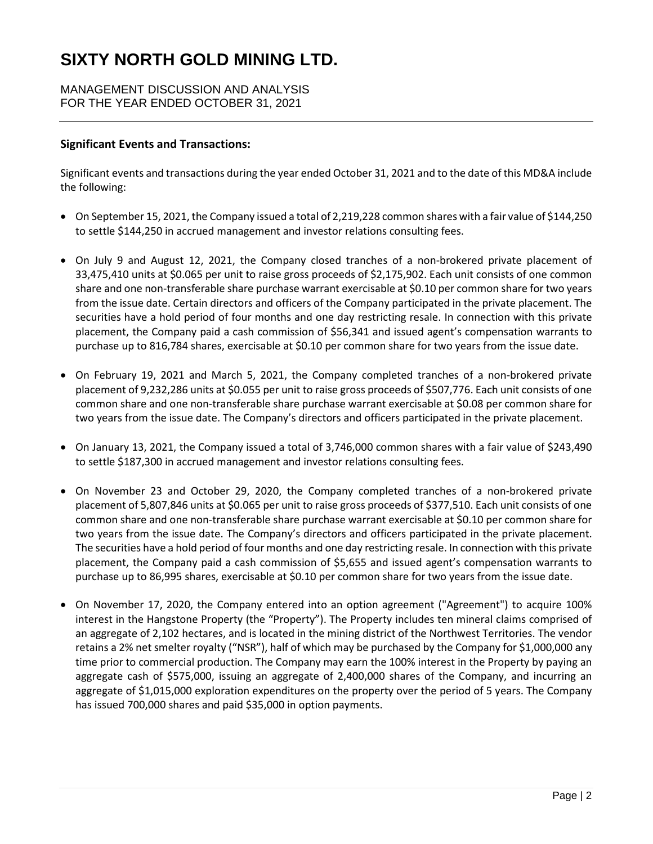MANAGEMENT DISCUSSION AND ANALYSIS FOR THE YEAR ENDED OCTOBER 31, 2021

## **Significant Events and Transactions:**

Significant events and transactions during the year ended October 31, 2021 and to the date of this MD&A include the following:

- On September 15, 2021, the Company issued a total of 2,219,228 common shares with a fair value of \$144,250 to settle \$144,250 in accrued management and investor relations consulting fees.
- On July 9 and August 12, 2021, the Company closed tranches of a non-brokered private placement of 33,475,410 units at \$0.065 per unit to raise gross proceeds of \$2,175,902. Each unit consists of one common share and one non-transferable share purchase warrant exercisable at \$0.10 per common share for two years from the issue date. Certain directors and officers of the Company participated in the private placement. The securities have a hold period of four months and one day restricting resale. In connection with this private placement, the Company paid a cash commission of \$56,341 and issued agent's compensation warrants to purchase up to 816,784 shares, exercisable at \$0.10 per common share for two years from the issue date.
- On February 19, 2021 and March 5, 2021, the Company completed tranches of a non-brokered private placement of 9,232,286 units at \$0.055 per unit to raise gross proceeds of \$507,776. Each unit consists of one common share and one non-transferable share purchase warrant exercisable at \$0.08 per common share for two years from the issue date. The Company's directors and officers participated in the private placement.
- On January 13, 2021, the Company issued a total of 3,746,000 common shares with a fair value of \$243,490 to settle \$187,300 in accrued management and investor relations consulting fees.
- On November 23 and October 29, 2020, the Company completed tranches of a non-brokered private placement of 5,807,846 units at \$0.065 per unit to raise gross proceeds of \$377,510. Each unit consists of one common share and one non-transferable share purchase warrant exercisable at \$0.10 per common share for two years from the issue date. The Company's directors and officers participated in the private placement. The securities have a hold period of four months and one day restricting resale. In connection with this private placement, the Company paid a cash commission of \$5,655 and issued agent's compensation warrants to purchase up to 86,995 shares, exercisable at \$0.10 per common share for two years from the issue date.
- On November 17, 2020, the Company entered into an option agreement ("Agreement") to acquire 100% interest in the Hangstone Property (the "Property"). The Property includes ten mineral claims comprised of an aggregate of 2,102 hectares, and is located in the mining district of the Northwest Territories. The vendor retains a 2% net smelter royalty ("NSR"), half of which may be purchased by the Company for \$1,000,000 any time prior to commercial production. The Company may earn the 100% interest in the Property by paying an aggregate cash of \$575,000, issuing an aggregate of 2,400,000 shares of the Company, and incurring an aggregate of \$1,015,000 exploration expenditures on the property over the period of 5 years. The Company has issued 700,000 shares and paid \$35,000 in option payments.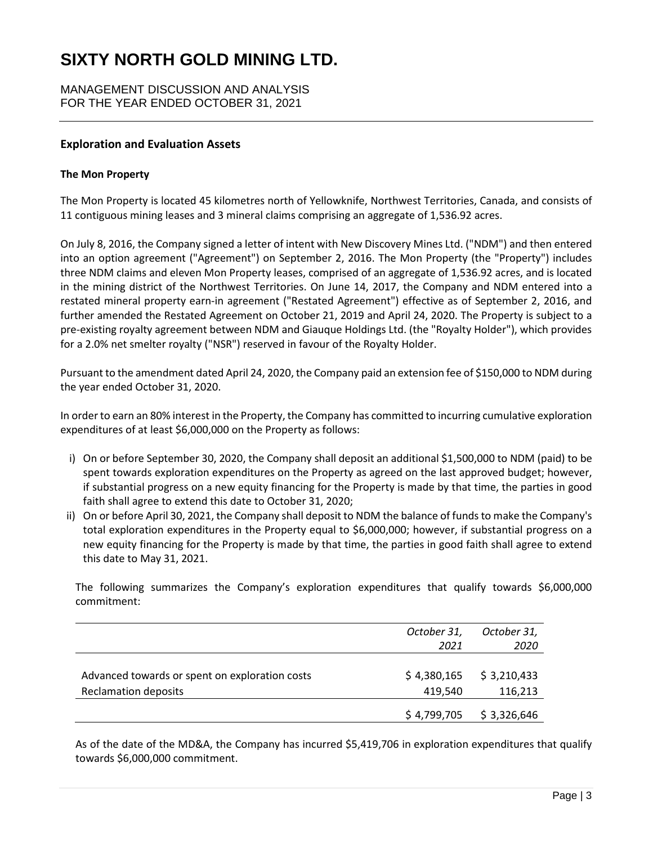MANAGEMENT DISCUSSION AND ANALYSIS FOR THE YEAR ENDED OCTOBER 31, 2021

## **Exploration and Evaluation Assets**

#### **The Mon Property**

The Mon Property is located 45 kilometres north of Yellowknife, Northwest Territories, Canada, and consists of 11 contiguous mining leases and 3 mineral claims comprising an aggregate of 1,536.92 acres.

On July 8, 2016, the Company signed a letter of intent with New Discovery Mines Ltd. ("NDM") and then entered into an option agreement ("Agreement") on September 2, 2016. The Mon Property (the "Property") includes three NDM claims and eleven Mon Property leases, comprised of an aggregate of 1,536.92 acres, and is located in the mining district of the Northwest Territories. On June 14, 2017, the Company and NDM entered into a restated mineral property earn-in agreement ("Restated Agreement") effective as of September 2, 2016, and further amended the Restated Agreement on October 21, 2019 and April 24, 2020. The Property is subject to a pre-existing royalty agreement between NDM and Giauque Holdings Ltd. (the "Royalty Holder"), which provides for a 2.0% net smelter royalty ("NSR") reserved in favour of the Royalty Holder.

Pursuant to the amendment dated April 24, 2020, the Company paid an extension fee of \$150,000 to NDM during the year ended October 31, 2020.

In order to earn an 80% interest in the Property, the Company has committed to incurring cumulative exploration expenditures of at least \$6,000,000 on the Property as follows:

- i) On or before September 30, 2020, the Company shall deposit an additional \$1,500,000 to NDM (paid) to be spent towards exploration expenditures on the Property as agreed on the last approved budget; however, if substantial progress on a new equity financing for the Property is made by that time, the parties in good faith shall agree to extend this date to October 31, 2020;
- ii) On or before April 30, 2021, the Company shall deposit to NDM the balance of funds to make the Company's total exploration expenditures in the Property equal to \$6,000,000; however, if substantial progress on a new equity financing for the Property is made by that time, the parties in good faith shall agree to extend this date to May 31, 2021.

The following summarizes the Company's exploration expenditures that qualify towards \$6,000,000 commitment:

|                                                | October 31,<br>2021 | October 31,<br>2020 |
|------------------------------------------------|---------------------|---------------------|
| Advanced towards or spent on exploration costs | \$4,380,165         | \$3,210,433         |
| <b>Reclamation deposits</b>                    | 419,540             | 116,213             |
|                                                | \$4,799,705         | \$3,326,646         |

As of the date of the MD&A, the Company has incurred \$5,419,706 in exploration expenditures that qualify towards \$6,000,000 commitment.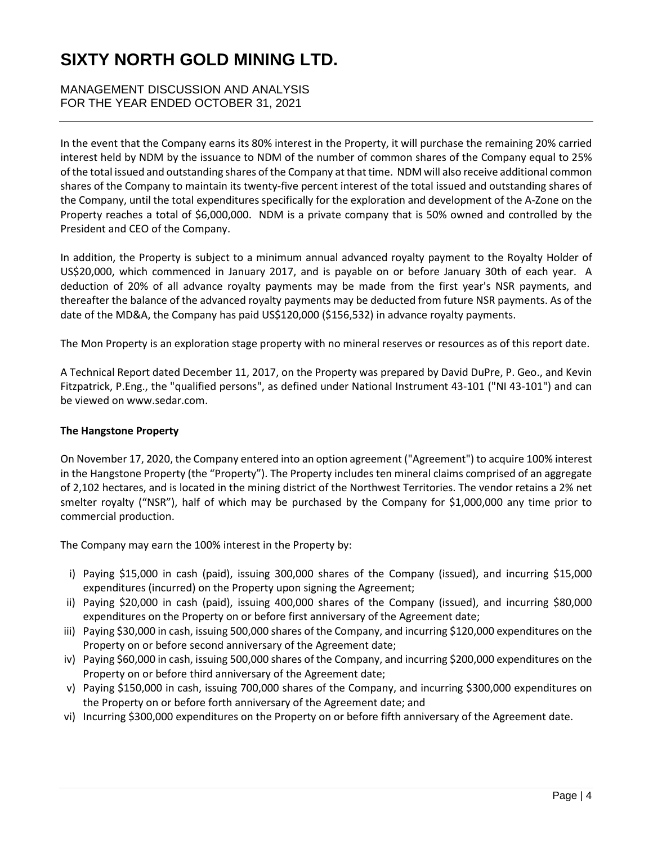## MANAGEMENT DISCUSSION AND ANALYSIS FOR THE YEAR ENDED OCTOBER 31, 2021

In the event that the Company earns its 80% interest in the Property, it will purchase the remaining 20% carried interest held by NDM by the issuance to NDM of the number of common shares of the Company equal to 25% of the total issued and outstanding shares of the Company at that time. NDM will also receive additional common shares of the Company to maintain its twenty-five percent interest of the total issued and outstanding shares of the Company, until the total expenditures specifically for the exploration and development of the A-Zone on the Property reaches a total of \$6,000,000. NDM is a private company that is 50% owned and controlled by the President and CEO of the Company.

In addition, the Property is subject to a minimum annual advanced royalty payment to the Royalty Holder of US\$20,000, which commenced in January 2017, and is payable on or before January 30th of each year. A deduction of 20% of all advance royalty payments may be made from the first year's NSR payments, and thereafter the balance of the advanced royalty payments may be deducted from future NSR payments. As of the date of the MD&A, the Company has paid US\$120,000 (\$156,532) in advance royalty payments.

The Mon Property is an exploration stage property with no mineral reserves or resources as of this report date.

A Technical Report dated December 11, 2017, on the Property was prepared by David DuPre, P. Geo., and Kevin Fitzpatrick, P.Eng., the "qualified persons", as defined under National Instrument 43-101 ("NI 43-101") and can be viewed on www.sedar.com.

## **The Hangstone Property**

On November 17, 2020, the Company entered into an option agreement ("Agreement") to acquire 100% interest in the Hangstone Property (the "Property"). The Property includes ten mineral claims comprised of an aggregate of 2,102 hectares, and is located in the mining district of the Northwest Territories. The vendor retains a 2% net smelter royalty ("NSR"), half of which may be purchased by the Company for \$1,000,000 any time prior to commercial production.

The Company may earn the 100% interest in the Property by:

- i) Paying \$15,000 in cash (paid), issuing 300,000 shares of the Company (issued), and incurring \$15,000 expenditures (incurred) on the Property upon signing the Agreement;
- ii) Paying \$20,000 in cash (paid), issuing 400,000 shares of the Company (issued), and incurring \$80,000 expenditures on the Property on or before first anniversary of the Agreement date;
- iii) Paying \$30,000 in cash, issuing 500,000 shares of the Company, and incurring \$120,000 expenditures on the Property on or before second anniversary of the Agreement date;
- iv) Paying \$60,000 in cash, issuing 500,000 shares of the Company, and incurring \$200,000 expenditures on the Property on or before third anniversary of the Agreement date;
- v) Paying \$150,000 in cash, issuing 700,000 shares of the Company, and incurring \$300,000 expenditures on the Property on or before forth anniversary of the Agreement date; and
- vi) Incurring \$300,000 expenditures on the Property on or before fifth anniversary of the Agreement date.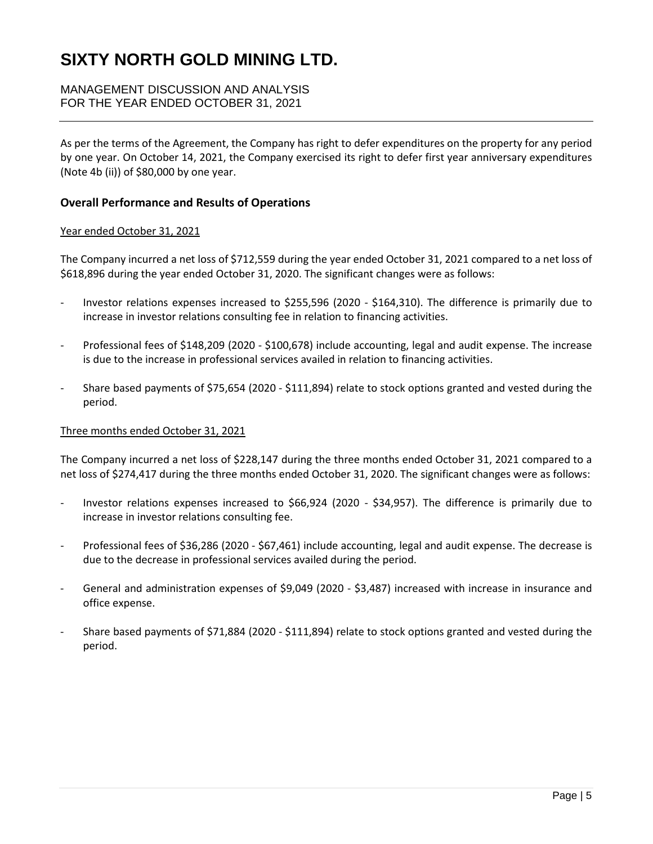## MANAGEMENT DISCUSSION AND ANALYSIS FOR THE YEAR ENDED OCTOBER 31, 2021

As per the terms of the Agreement, the Company has right to defer expenditures on the property for any period by one year. On October 14, 2021, the Company exercised its right to defer first year anniversary expenditures (Note 4b (ii)) of \$80,000 by one year.

### **Overall Performance and Results of Operations**

#### Year ended October 31, 2021

The Company incurred a net loss of \$712,559 during the year ended October 31, 2021 compared to a net loss of \$618,896 during the year ended October 31, 2020. The significant changes were as follows:

- Investor relations expenses increased to \$255,596 (2020 \$164,310). The difference is primarily due to increase in investor relations consulting fee in relation to financing activities.
- Professional fees of \$148,209 (2020 \$100,678) include accounting, legal and audit expense. The increase is due to the increase in professional services availed in relation to financing activities.
- Share based payments of \$75,654 (2020 \$111,894) relate to stock options granted and vested during the period.

#### Three months ended October 31, 2021

The Company incurred a net loss of \$228,147 during the three months ended October 31, 2021 compared to a net loss of \$274,417 during the three months ended October 31, 2020. The significant changes were as follows:

- Investor relations expenses increased to \$66,924 (2020 \$34,957). The difference is primarily due to increase in investor relations consulting fee.
- Professional fees of \$36,286 (2020 \$67,461) include accounting, legal and audit expense. The decrease is due to the decrease in professional services availed during the period.
- General and administration expenses of \$9,049 (2020 \$3,487) increased with increase in insurance and office expense.
- Share based payments of \$71,884 (2020 \$111,894) relate to stock options granted and vested during the period.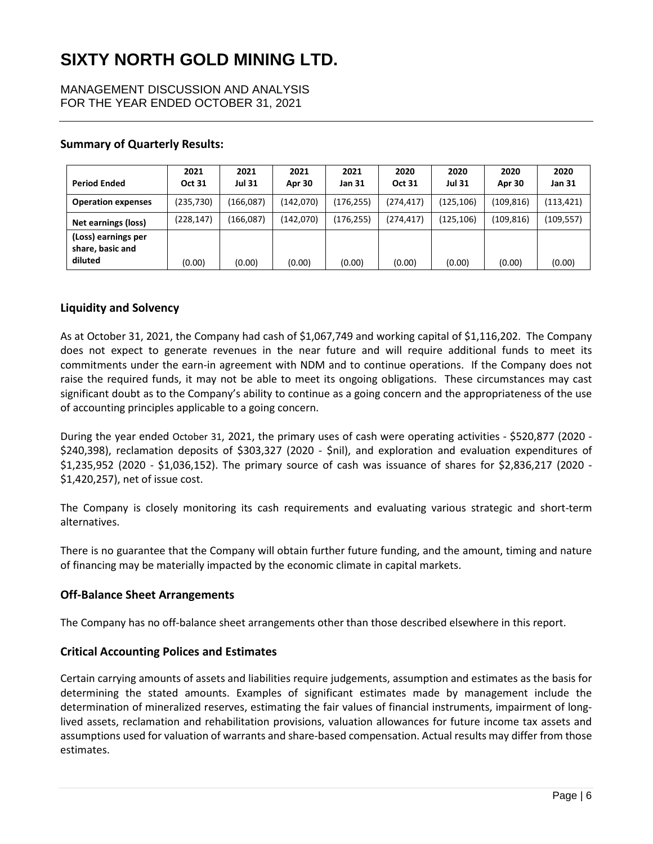MANAGEMENT DISCUSSION AND ANALYSIS FOR THE YEAR ENDED OCTOBER 31, 2021

### **Summary of Quarterly Results:**

| <b>Period Ended</b>                                | 2021<br><b>Oct 31</b> | 2021<br>Jul 31 | 2021<br>Apr 30 | 2021<br><b>Jan 31</b> | 2020<br><b>Oct 31</b> | 2020<br><b>Jul 31</b> | 2020<br>Apr 30 | 2020<br>Jan 31 |
|----------------------------------------------------|-----------------------|----------------|----------------|-----------------------|-----------------------|-----------------------|----------------|----------------|
| <b>Operation expenses</b>                          | (235, 730)            | (166, 087)     | (142,070)      | (176,255)             | (274, 417)            | (125,106)             | (109, 816)     | (113, 421)     |
| Net earnings (loss)                                | (228, 147)            | (166, 087)     | (142,070)      | (176, 255)            | (274, 417)            | (125,106)             | (109, 816)     | (109, 557)     |
| (Loss) earnings per<br>share, basic and<br>diluted | (0.00)                | (0.00)         | (0.00)         | (0.00)                | (0.00)                | (0.00)                | (0.00)         | (0.00)         |

### **Liquidity and Solvency**

As at October 31, 2021, the Company had cash of \$1,067,749 and working capital of \$1,116,202. The Company does not expect to generate revenues in the near future and will require additional funds to meet its commitments under the earn-in agreement with NDM and to continue operations. If the Company does not raise the required funds, it may not be able to meet its ongoing obligations. These circumstances may cast significant doubt as to the Company's ability to continue as a going concern and the appropriateness of the use of accounting principles applicable to a going concern.

During the year ended October 31, 2021, the primary uses of cash were operating activities - \$520,877 (2020 - \$240,398), reclamation deposits of \$303,327 (2020 - \$nil), and exploration and evaluation expenditures of \$1,235,952 (2020 - \$1,036,152). The primary source of cash was issuance of shares for \$2,836,217 (2020 - \$1,420,257), net of issue cost.

The Company is closely monitoring its cash requirements and evaluating various strategic and short-term alternatives.

There is no guarantee that the Company will obtain further future funding, and the amount, timing and nature of financing may be materially impacted by the economic climate in capital markets.

## **Off-Balance Sheet Arrangements**

The Company has no off-balance sheet arrangements other than those described elsewhere in this report.

#### **Critical Accounting Polices and Estimates**

Certain carrying amounts of assets and liabilities require judgements, assumption and estimates as the basis for determining the stated amounts. Examples of significant estimates made by management include the determination of mineralized reserves, estimating the fair values of financial instruments, impairment of longlived assets, reclamation and rehabilitation provisions, valuation allowances for future income tax assets and assumptions used for valuation of warrants and share-based compensation. Actual results may differ from those estimates.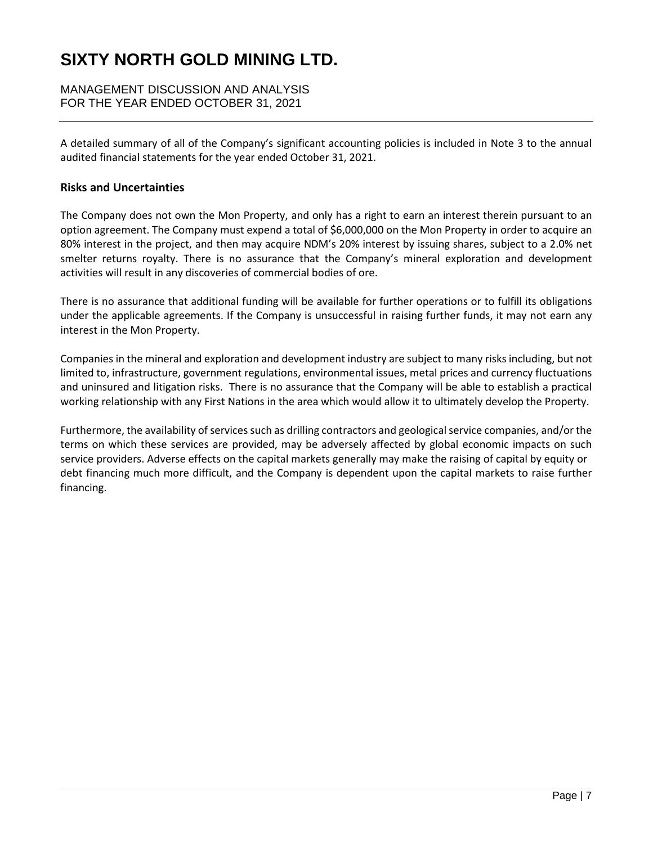MANAGEMENT DISCUSSION AND ANALYSIS FOR THE YEAR ENDED OCTOBER 31, 2021

A detailed summary of all of the Company's significant accounting policies is included in Note 3 to the annual audited financial statements for the year ended October 31, 2021.

### **Risks and Uncertainties**

The Company does not own the Mon Property, and only has a right to earn an interest therein pursuant to an option agreement. The Company must expend a total of \$6,000,000 on the Mon Property in order to acquire an 80% interest in the project, and then may acquire NDM's 20% interest by issuing shares, subject to a 2.0% net smelter returns royalty. There is no assurance that the Company's mineral exploration and development activities will result in any discoveries of commercial bodies of ore.

There is no assurance that additional funding will be available for further operations or to fulfill its obligations under the applicable agreements. If the Company is unsuccessful in raising further funds, it may not earn any interest in the Mon Property.

Companies in the mineral and exploration and development industry are subject to many risks including, but not limited to, infrastructure, government regulations, environmental issues, metal prices and currency fluctuations and uninsured and litigation risks. There is no assurance that the Company will be able to establish a practical working relationship with any First Nations in the area which would allow it to ultimately develop the Property.

Furthermore, the availability of services such as drilling contractors and geological service companies, and/or the terms on which these services are provided, may be adversely affected by global economic impacts on such service providers. Adverse effects on the capital markets generally may make the raising of capital by equity or debt financing much more difficult, and the Company is dependent upon the capital markets to raise further financing.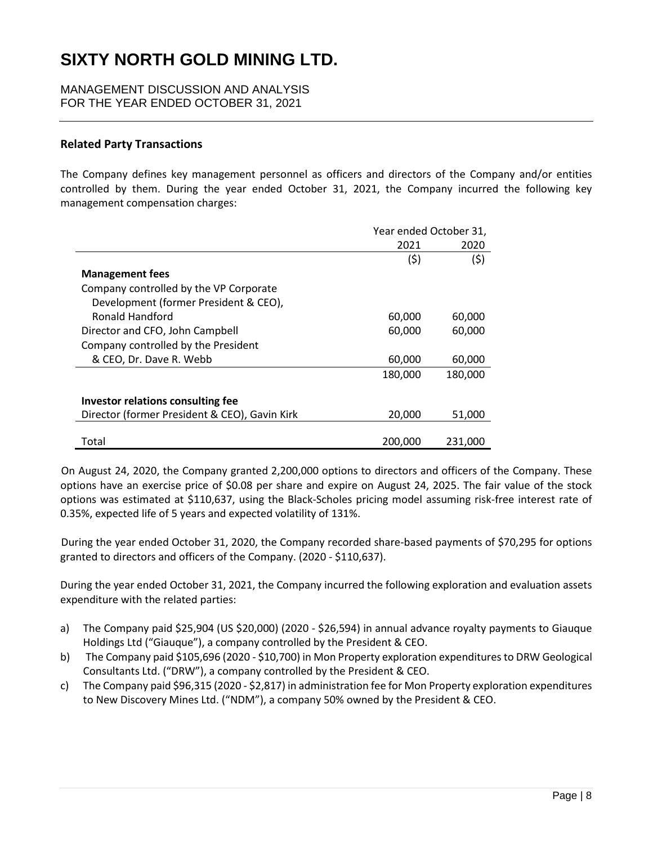MANAGEMENT DISCUSSION AND ANALYSIS FOR THE YEAR ENDED OCTOBER 31, 2021

## **Related Party Transactions**

The Company defines key management personnel as officers and directors of the Company and/or entities controlled by them. During the year ended October 31, 2021, the Company incurred the following key management compensation charges:

|                                               | Year ended October 31, |         |  |
|-----------------------------------------------|------------------------|---------|--|
|                                               | 2021                   | 2020    |  |
|                                               | (5)                    | (\$)    |  |
| <b>Management fees</b>                        |                        |         |  |
| Company controlled by the VP Corporate        |                        |         |  |
| Development (former President & CEO),         |                        |         |  |
| Ronald Handford                               | 60,000                 | 60,000  |  |
| Director and CFO, John Campbell               | 60,000                 | 60,000  |  |
| Company controlled by the President           |                        |         |  |
| & CEO, Dr. Dave R. Webb                       | 60,000                 | 60,000  |  |
|                                               | 180,000                | 180,000 |  |
| Investor relations consulting fee             |                        |         |  |
| Director (former President & CEO), Gavin Kirk | 20,000                 | 51,000  |  |
| Total                                         | 200,000                | 231,000 |  |

On August 24, 2020, the Company granted 2,200,000 options to directors and officers of the Company. These options have an exercise price of \$0.08 per share and expire on August 24, 2025. The fair value of the stock options was estimated at \$110,637, using the Black-Scholes pricing model assuming risk-free interest rate of 0.35%, expected life of 5 years and expected volatility of 131%.

During the year ended October 31, 2020, the Company recorded share-based payments of \$70,295 for options granted to directors and officers of the Company. (2020 - \$110,637).

During the year ended October 31, 2021, the Company incurred the following exploration and evaluation assets expenditure with the related parties:

- a) The Company paid \$25,904 (US \$20,000) (2020 \$26,594) in annual advance royalty payments to Giauque Holdings Ltd ("Giauque"), a company controlled by the President & CEO.
- b) The Company paid \$105,696 (2020 \$10,700) in Mon Property exploration expenditures to DRW Geological Consultants Ltd. ("DRW"), a company controlled by the President & CEO.
- c) The Company paid \$96,315 (2020 \$2,817) in administration fee for Mon Property exploration expenditures to New Discovery Mines Ltd. ("NDM"), a company 50% owned by the President & CEO.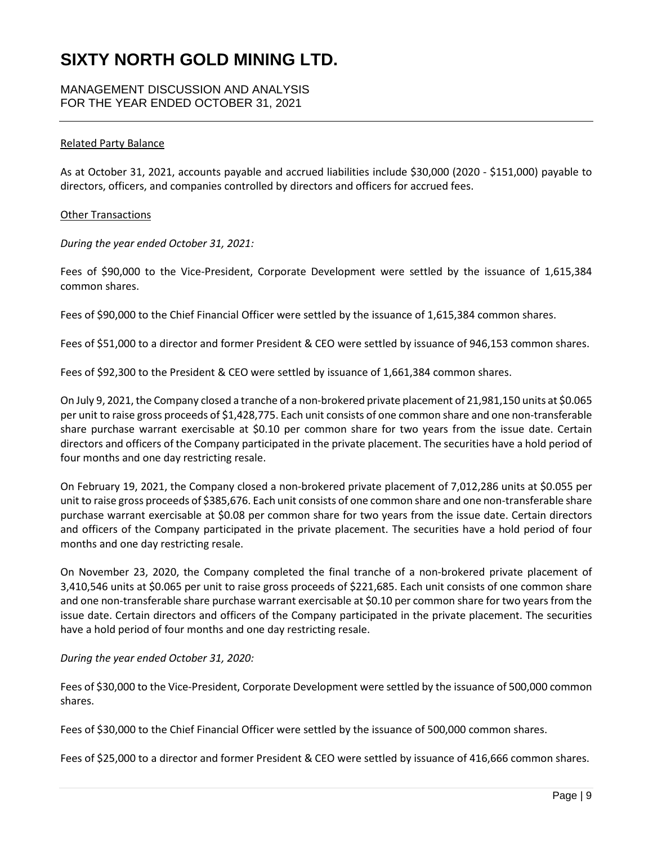MANAGEMENT DISCUSSION AND ANALYSIS FOR THE YEAR ENDED OCTOBER 31, 2021

#### Related Party Balance

As at October 31, 2021, accounts payable and accrued liabilities include \$30,000 (2020 - \$151,000) payable to directors, officers, and companies controlled by directors and officers for accrued fees.

#### Other Transactions

*During the year ended October 31, 2021:* 

Fees of \$90,000 to the Vice-President, Corporate Development were settled by the issuance of 1,615,384 common shares.

Fees of \$90,000 to the Chief Financial Officer were settled by the issuance of 1,615,384 common shares.

Fees of \$51,000 to a director and former President & CEO were settled by issuance of 946,153 common shares.

Fees of \$92,300 to the President & CEO were settled by issuance of 1,661,384 common shares.

On July 9, 2021, the Company closed a tranche of a non-brokered private placement of 21,981,150 units at \$0.065 per unit to raise gross proceeds of \$1,428,775. Each unit consists of one common share and one non-transferable share purchase warrant exercisable at \$0.10 per common share for two years from the issue date. Certain directors and officers of the Company participated in the private placement. The securities have a hold period of four months and one day restricting resale.

On February 19, 2021, the Company closed a non-brokered private placement of 7,012,286 units at \$0.055 per unit to raise gross proceeds of \$385,676. Each unit consists of one common share and one non-transferable share purchase warrant exercisable at \$0.08 per common share for two years from the issue date. Certain directors and officers of the Company participated in the private placement. The securities have a hold period of four months and one day restricting resale.

On November 23, 2020, the Company completed the final tranche of a non-brokered private placement of 3,410,546 units at \$0.065 per unit to raise gross proceeds of \$221,685. Each unit consists of one common share and one non-transferable share purchase warrant exercisable at \$0.10 per common share for two years from the issue date. Certain directors and officers of the Company participated in the private placement. The securities have a hold period of four months and one day restricting resale.

#### *During the year ended October 31, 2020:*

Fees of \$30,000 to the Vice-President, Corporate Development were settled by the issuance of 500,000 common shares.

Fees of \$30,000 to the Chief Financial Officer were settled by the issuance of 500,000 common shares.

Fees of \$25,000 to a director and former President & CEO were settled by issuance of 416,666 common shares.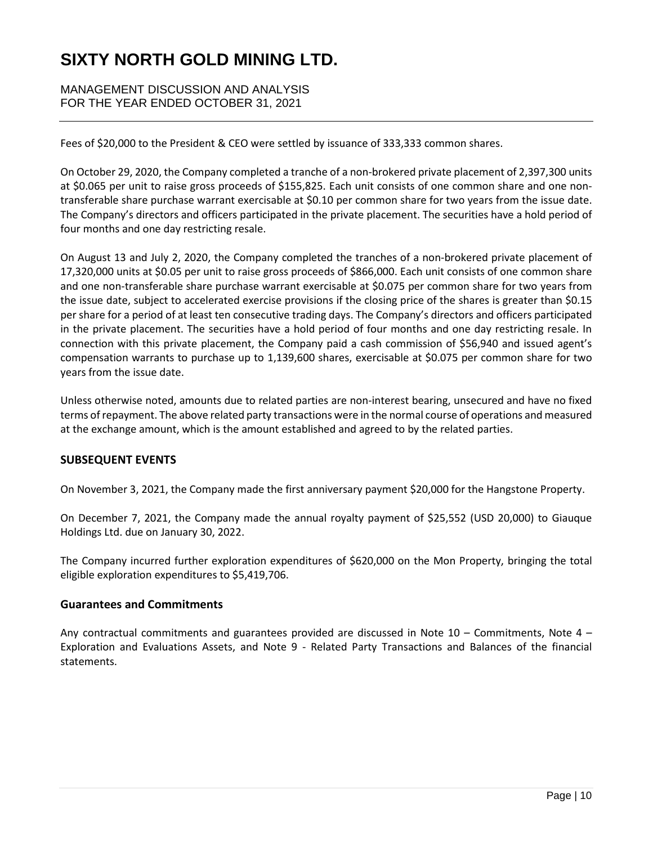MANAGEMENT DISCUSSION AND ANALYSIS FOR THE YEAR ENDED OCTOBER 31, 2021

Fees of \$20,000 to the President & CEO were settled by issuance of 333,333 common shares.

On October 29, 2020, the Company completed a tranche of a non-brokered private placement of 2,397,300 units at \$0.065 per unit to raise gross proceeds of \$155,825. Each unit consists of one common share and one nontransferable share purchase warrant exercisable at \$0.10 per common share for two years from the issue date. The Company's directors and officers participated in the private placement. The securities have a hold period of four months and one day restricting resale.

On August 13 and July 2, 2020, the Company completed the tranches of a non-brokered private placement of 17,320,000 units at \$0.05 per unit to raise gross proceeds of \$866,000. Each unit consists of one common share and one non-transferable share purchase warrant exercisable at \$0.075 per common share for two years from the issue date, subject to accelerated exercise provisions if the closing price of the shares is greater than \$0.15 per share for a period of at least ten consecutive trading days. The Company's directors and officers participated in the private placement. The securities have a hold period of four months and one day restricting resale. In connection with this private placement, the Company paid a cash commission of \$56,940 and issued agent's compensation warrants to purchase up to 1,139,600 shares, exercisable at \$0.075 per common share for two years from the issue date.

Unless otherwise noted, amounts due to related parties are non-interest bearing, unsecured and have no fixed terms of repayment. The above related party transactions were in the normal course of operations and measured at the exchange amount, which is the amount established and agreed to by the related parties.

## **SUBSEQUENT EVENTS**

On November 3, 2021, the Company made the first anniversary payment \$20,000 for the Hangstone Property.

On December 7, 2021, the Company made the annual royalty payment of \$25,552 (USD 20,000) to Giauque Holdings Ltd. due on January 30, 2022.

The Company incurred further exploration expenditures of \$620,000 on the Mon Property, bringing the total eligible exploration expenditures to \$5,419,706.

#### **Guarantees and Commitments**

Any contractual commitments and guarantees provided are discussed in Note 10 – Commitments, Note 4 – Exploration and Evaluations Assets, and Note 9 - Related Party Transactions and Balances of the financial statements.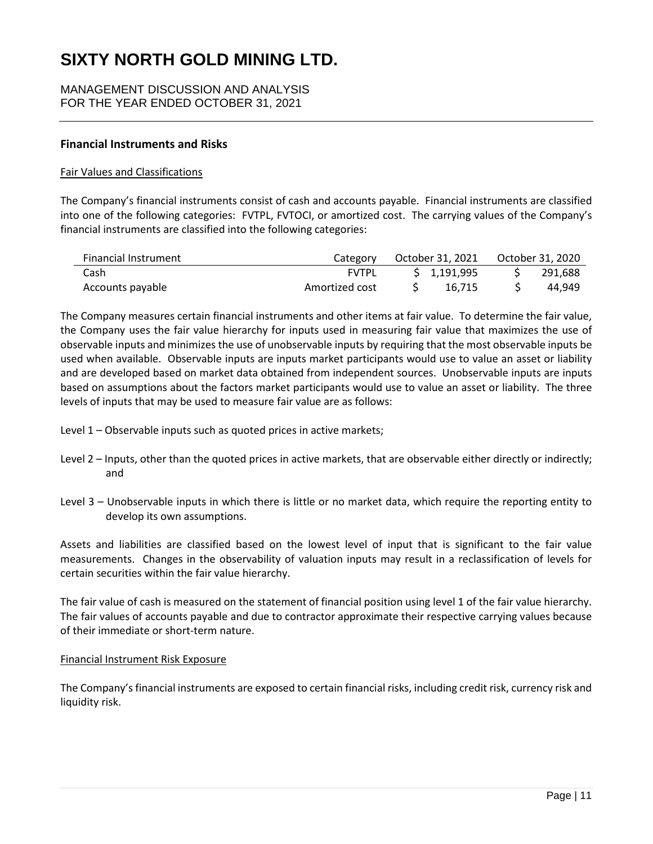MANAGEMENT DISCUSSION AND ANALYSIS FOR THE YEAR ENDED OCTOBER 31, 2021

### **Financial Instruments and Risks**

#### Fair Values and Classifications

The Company's financial instruments consist of cash and accounts payable. Financial instruments are classified into one of the following categories: FVTPL, FVTOCI, or amortized cost. The carrying values of the Company's financial instruments are classified into the following categories:

| Financial Instrument | Category       | October 31, 2021 | October 31, 2020 |
|----------------------|----------------|------------------|------------------|
| Cash                 | <b>FVTPL</b>   | \$1,191,995      | 291.688          |
| Accounts payable     | Amortized cost | 16.715           | 44.949           |

The Company measures certain financial instruments and other items at fair value. To determine the fair value, the Company uses the fair value hierarchy for inputs used in measuring fair value that maximizes the use of observable inputs and minimizes the use of unobservable inputs by requiring that the most observable inputs be used when available. Observable inputs are inputs market participants would use to value an asset or liability and are developed based on market data obtained from independent sources. Unobservable inputs are inputs based on assumptions about the factors market participants would use to value an asset or liability. The three levels of inputs that may be used to measure fair value are as follows:

- Level 1 Observable inputs such as quoted prices in active markets;
- Level 2 Inputs, other than the quoted prices in active markets, that are observable either directly or indirectly; and
- Level 3 Unobservable inputs in which there is little or no market data, which require the reporting entity to develop its own assumptions.

Assets and liabilities are classified based on the lowest level of input that is significant to the fair value measurements. Changes in the observability of valuation inputs may result in a reclassification of levels for certain securities within the fair value hierarchy.

The fair value of cash is measured on the statement of financial position using level 1 of the fair value hierarchy. The fair values of accounts payable and due to contractor approximate their respective carrying values because of their immediate or short-term nature.

#### Financial Instrument Risk Exposure

The Company's financial instruments are exposed to certain financial risks, including credit risk, currency risk and liquidity risk.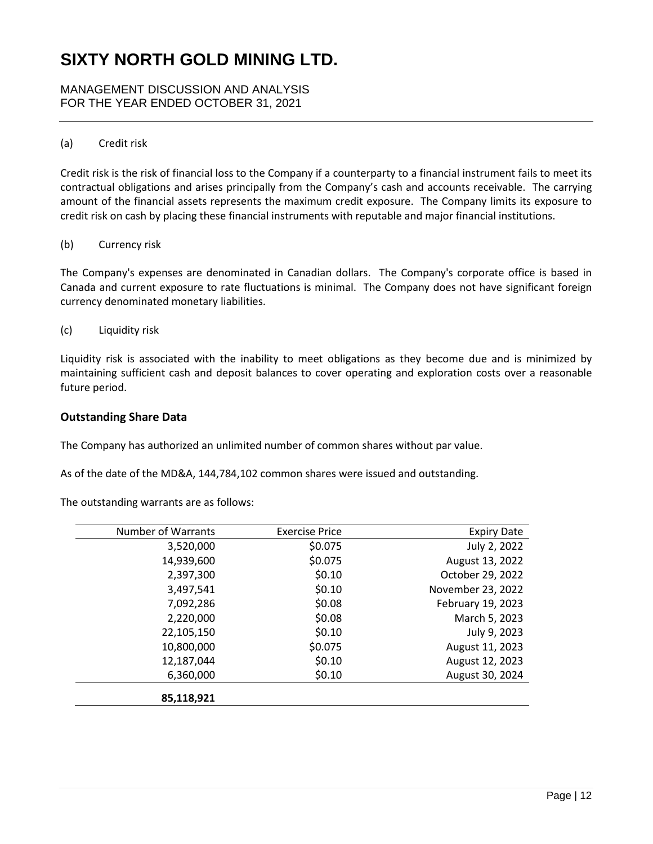MANAGEMENT DISCUSSION AND ANALYSIS FOR THE YEAR ENDED OCTOBER 31, 2021

### (a) Credit risk

Credit risk is the risk of financial loss to the Company if a counterparty to a financial instrument fails to meet its contractual obligations and arises principally from the Company's cash and accounts receivable. The carrying amount of the financial assets represents the maximum credit exposure. The Company limits its exposure to credit risk on cash by placing these financial instruments with reputable and major financial institutions.

#### (b) Currency risk

The Company's expenses are denominated in Canadian dollars. The Company's corporate office is based in Canada and current exposure to rate fluctuations is minimal. The Company does not have significant foreign currency denominated monetary liabilities.

(c) Liquidity risk

Liquidity risk is associated with the inability to meet obligations as they become due and is minimized by maintaining sufficient cash and deposit balances to cover operating and exploration costs over a reasonable future period.

### **Outstanding Share Data**

The Company has authorized an unlimited number of common shares without par value.

As of the date of the MD&A, 144,784,102 common shares were issued and outstanding.

The outstanding warrants are as follows:

| <b>Expiry Date</b> | <b>Exercise Price</b> | Number of Warrants |
|--------------------|-----------------------|--------------------|
| July 2, 2022       | \$0.075               | 3,520,000          |
| August 13, 2022    | \$0.075               | 14,939,600         |
| October 29, 2022   | \$0.10                | 2,397,300          |
| November 23, 2022  | \$0.10                | 3,497,541          |
| February 19, 2023  | \$0.08                | 7,092,286          |
| March 5, 2023      | \$0.08                | 2,220,000          |
| July 9, 2023       | \$0.10                | 22,105,150         |
| August 11, 2023    | \$0.075               | 10,800,000         |
| August 12, 2023    | \$0.10                | 12,187,044         |
| August 30, 2024    | \$0.10                | 6,360,000          |
|                    |                       | 85,118,921         |
|                    |                       |                    |